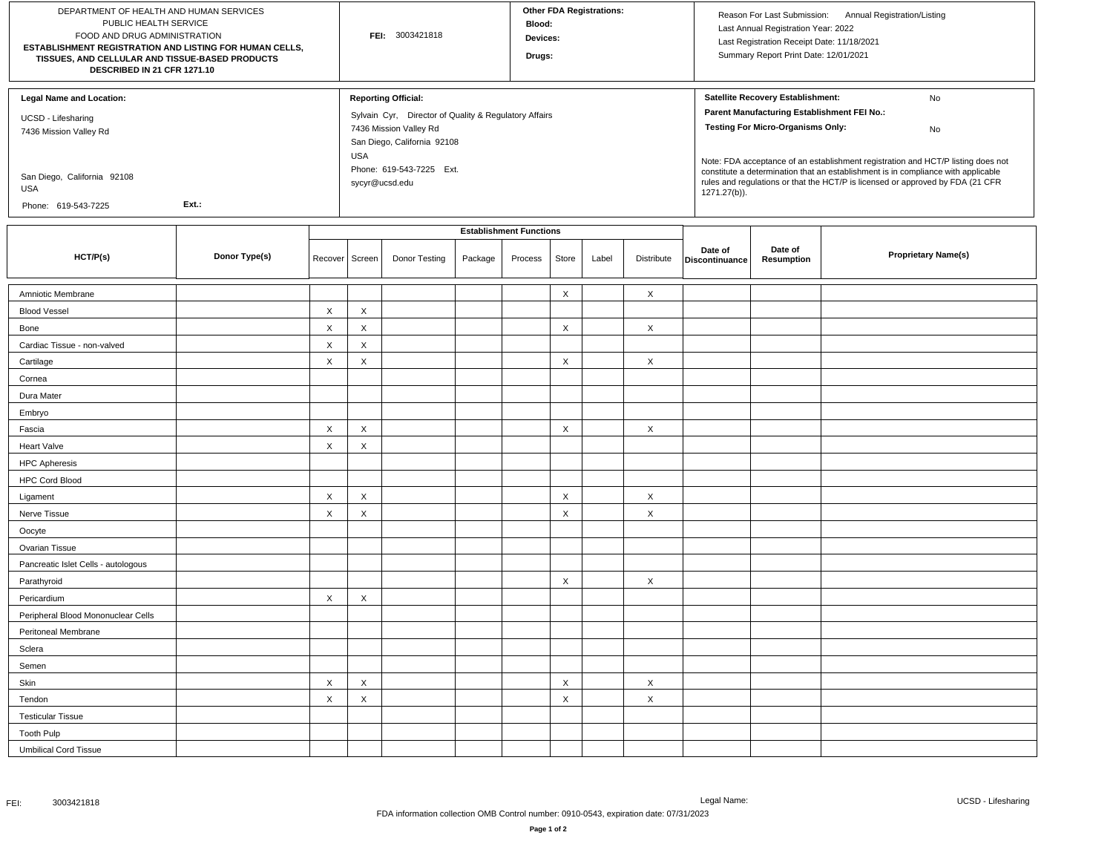| DEPARTMENT OF HEALTH AND HUMAN SERVICES<br>PUBLIC HEALTH SERVICE<br>FOOD AND DRUG ADMINISTRATION<br>ESTABLISHMENT REGISTRATION AND LISTING FOR HUMAN CELLS,<br>TISSUES, AND CELLULAR AND TISSUE-BASED PRODUCTS<br>DESCRIBED IN 21 CFR 1271.10 |               |                           | FEI: 3003421818                |                                                                                                                                                                                                          |         |         | <b>Other FDA Registrations:</b><br>Blood:<br>Devices:<br>Drugs: |       |                           |                                                                                                                                                                                                                                                                                                                                                                                                                        | Reason For Last Submission: Annual Registration/Listing<br>Last Annual Registration Year: 2022<br>Last Registration Receipt Date: 11/18/2021<br>Summary Report Print Date: 12/01/2021 |                            |  |
|-----------------------------------------------------------------------------------------------------------------------------------------------------------------------------------------------------------------------------------------------|---------------|---------------------------|--------------------------------|----------------------------------------------------------------------------------------------------------------------------------------------------------------------------------------------------------|---------|---------|-----------------------------------------------------------------|-------|---------------------------|------------------------------------------------------------------------------------------------------------------------------------------------------------------------------------------------------------------------------------------------------------------------------------------------------------------------------------------------------------------------------------------------------------------------|---------------------------------------------------------------------------------------------------------------------------------------------------------------------------------------|----------------------------|--|
| <b>Legal Name and Location:</b><br>UCSD - Lifesharing<br>7436 Mission Valley Rd<br>San Diego, California 92108<br>USA<br>Ext.:<br>Phone: 619-543-7225                                                                                         |               |                           |                                | <b>Reporting Official:</b><br>Sylvain Cyr, Director of Quality & Regulatory Affairs<br>7436 Mission Valley Rd<br>San Diego, California 92108<br><b>USA</b><br>Phone: 619-543-7225 Ext.<br>sycyr@ucsd.edu |         |         |                                                                 |       |                           | Satellite Recovery Establishment:<br>No<br>Parent Manufacturing Establishment FEI No.:<br><b>Testing For Micro-Organisms Only:</b><br>No<br>Note: FDA acceptance of an establishment registration and HCT/P listing does not<br>constitute a determination that an establishment is in compliance with applicable<br>rules and regulations or that the HCT/P is licensed or approved by FDA (21 CFR<br>$1271.27(b)$ ). |                                                                                                                                                                                       |                            |  |
|                                                                                                                                                                                                                                               |               |                           | <b>Establishment Functions</b> |                                                                                                                                                                                                          |         |         |                                                                 |       |                           | Date of                                                                                                                                                                                                                                                                                                                                                                                                                | Date of                                                                                                                                                                               |                            |  |
| HCT/P(s)                                                                                                                                                                                                                                      | Donor Type(s) | Recover                   | Screen                         | Donor Testing                                                                                                                                                                                            | Package | Process | Store                                                           | Label | Distribute                | Discontinuance                                                                                                                                                                                                                                                                                                                                                                                                         | Resumption                                                                                                                                                                            | <b>Proprietary Name(s)</b> |  |
| Amniotic Membrane                                                                                                                                                                                                                             |               |                           |                                |                                                                                                                                                                                                          |         |         | $\boldsymbol{\mathsf{X}}$                                       |       | $\times$                  |                                                                                                                                                                                                                                                                                                                                                                                                                        |                                                                                                                                                                                       |                            |  |
| <b>Blood Vessel</b>                                                                                                                                                                                                                           |               | X                         | X                              |                                                                                                                                                                                                          |         |         |                                                                 |       |                           |                                                                                                                                                                                                                                                                                                                                                                                                                        |                                                                                                                                                                                       |                            |  |
| Bone                                                                                                                                                                                                                                          |               | $\mathsf X$               | $\boldsymbol{\mathsf{X}}$      |                                                                                                                                                                                                          |         |         | X                                                               |       | $\times$                  |                                                                                                                                                                                                                                                                                                                                                                                                                        |                                                                                                                                                                                       |                            |  |
| Cardiac Tissue - non-valved                                                                                                                                                                                                                   |               | $\mathsf X$               | $\pmb{\times}$                 |                                                                                                                                                                                                          |         |         |                                                                 |       |                           |                                                                                                                                                                                                                                                                                                                                                                                                                        |                                                                                                                                                                                       |                            |  |
| Cartilage                                                                                                                                                                                                                                     |               | $\mathsf X$               | X                              |                                                                                                                                                                                                          |         |         | $\times$                                                        |       | $\times$                  |                                                                                                                                                                                                                                                                                                                                                                                                                        |                                                                                                                                                                                       |                            |  |
| Cornea                                                                                                                                                                                                                                        |               |                           |                                |                                                                                                                                                                                                          |         |         |                                                                 |       |                           |                                                                                                                                                                                                                                                                                                                                                                                                                        |                                                                                                                                                                                       |                            |  |
| Dura Mater                                                                                                                                                                                                                                    |               |                           |                                |                                                                                                                                                                                                          |         |         |                                                                 |       |                           |                                                                                                                                                                                                                                                                                                                                                                                                                        |                                                                                                                                                                                       |                            |  |
| Embryo                                                                                                                                                                                                                                        |               |                           |                                |                                                                                                                                                                                                          |         |         |                                                                 |       |                           |                                                                                                                                                                                                                                                                                                                                                                                                                        |                                                                                                                                                                                       |                            |  |
| Fascia                                                                                                                                                                                                                                        |               | X                         | X                              |                                                                                                                                                                                                          |         |         | $\times$                                                        |       | $\boldsymbol{\mathsf{X}}$ |                                                                                                                                                                                                                                                                                                                                                                                                                        |                                                                                                                                                                                       |                            |  |
| Heart Valve                                                                                                                                                                                                                                   |               | $\mathsf X$               | X                              |                                                                                                                                                                                                          |         |         |                                                                 |       |                           |                                                                                                                                                                                                                                                                                                                                                                                                                        |                                                                                                                                                                                       |                            |  |
| <b>HPC Apheresis</b>                                                                                                                                                                                                                          |               |                           |                                |                                                                                                                                                                                                          |         |         |                                                                 |       |                           |                                                                                                                                                                                                                                                                                                                                                                                                                        |                                                                                                                                                                                       |                            |  |
| <b>HPC Cord Blood</b>                                                                                                                                                                                                                         |               |                           |                                |                                                                                                                                                                                                          |         |         |                                                                 |       |                           |                                                                                                                                                                                                                                                                                                                                                                                                                        |                                                                                                                                                                                       |                            |  |
| Ligament                                                                                                                                                                                                                                      |               | X                         | X                              |                                                                                                                                                                                                          |         |         | X                                                               |       | $\times$                  |                                                                                                                                                                                                                                                                                                                                                                                                                        |                                                                                                                                                                                       |                            |  |
| Nerve Tissue                                                                                                                                                                                                                                  |               | X                         | X                              |                                                                                                                                                                                                          |         |         | X                                                               |       | X                         |                                                                                                                                                                                                                                                                                                                                                                                                                        |                                                                                                                                                                                       |                            |  |
| Oocyte                                                                                                                                                                                                                                        |               |                           |                                |                                                                                                                                                                                                          |         |         |                                                                 |       |                           |                                                                                                                                                                                                                                                                                                                                                                                                                        |                                                                                                                                                                                       |                            |  |
| Ovarian Tissue                                                                                                                                                                                                                                |               |                           |                                |                                                                                                                                                                                                          |         |         |                                                                 |       |                           |                                                                                                                                                                                                                                                                                                                                                                                                                        |                                                                                                                                                                                       |                            |  |
| Pancreatic Islet Cells - autologous                                                                                                                                                                                                           |               |                           |                                |                                                                                                                                                                                                          |         |         |                                                                 |       |                           |                                                                                                                                                                                                                                                                                                                                                                                                                        |                                                                                                                                                                                       |                            |  |
| Parathyroid                                                                                                                                                                                                                                   |               |                           |                                |                                                                                                                                                                                                          |         |         | X                                                               |       | $\times$                  |                                                                                                                                                                                                                                                                                                                                                                                                                        |                                                                                                                                                                                       |                            |  |
| Pericardium                                                                                                                                                                                                                                   |               | X                         | X                              |                                                                                                                                                                                                          |         |         |                                                                 |       |                           |                                                                                                                                                                                                                                                                                                                                                                                                                        |                                                                                                                                                                                       |                            |  |
| Peripheral Blood Mononuclear Cells                                                                                                                                                                                                            |               |                           |                                |                                                                                                                                                                                                          |         |         |                                                                 |       |                           |                                                                                                                                                                                                                                                                                                                                                                                                                        |                                                                                                                                                                                       |                            |  |
| Peritoneal Membrane                                                                                                                                                                                                                           |               |                           |                                |                                                                                                                                                                                                          |         |         |                                                                 |       |                           |                                                                                                                                                                                                                                                                                                                                                                                                                        |                                                                                                                                                                                       |                            |  |
| Sclera                                                                                                                                                                                                                                        |               |                           |                                |                                                                                                                                                                                                          |         |         |                                                                 |       |                           |                                                                                                                                                                                                                                                                                                                                                                                                                        |                                                                                                                                                                                       |                            |  |
| Semen                                                                                                                                                                                                                                         |               |                           |                                |                                                                                                                                                                                                          |         |         |                                                                 |       |                           |                                                                                                                                                                                                                                                                                                                                                                                                                        |                                                                                                                                                                                       |                            |  |
| Skin                                                                                                                                                                                                                                          |               | $\boldsymbol{\mathsf{X}}$ | X                              |                                                                                                                                                                                                          |         |         | X                                                               |       | $\times$                  |                                                                                                                                                                                                                                                                                                                                                                                                                        |                                                                                                                                                                                       |                            |  |
| Tendon                                                                                                                                                                                                                                        |               | $\boldsymbol{\mathsf{X}}$ | X                              |                                                                                                                                                                                                          |         |         | X                                                               |       | X                         |                                                                                                                                                                                                                                                                                                                                                                                                                        |                                                                                                                                                                                       |                            |  |
| <b>Testicular Tissue</b>                                                                                                                                                                                                                      |               |                           |                                |                                                                                                                                                                                                          |         |         |                                                                 |       |                           |                                                                                                                                                                                                                                                                                                                                                                                                                        |                                                                                                                                                                                       |                            |  |
| <b>Tooth Pulp</b>                                                                                                                                                                                                                             |               |                           |                                |                                                                                                                                                                                                          |         |         |                                                                 |       |                           |                                                                                                                                                                                                                                                                                                                                                                                                                        |                                                                                                                                                                                       |                            |  |
| <b>Umbilical Cord Tissue</b>                                                                                                                                                                                                                  |               |                           |                                |                                                                                                                                                                                                          |         |         |                                                                 |       |                           |                                                                                                                                                                                                                                                                                                                                                                                                                        |                                                                                                                                                                                       |                            |  |